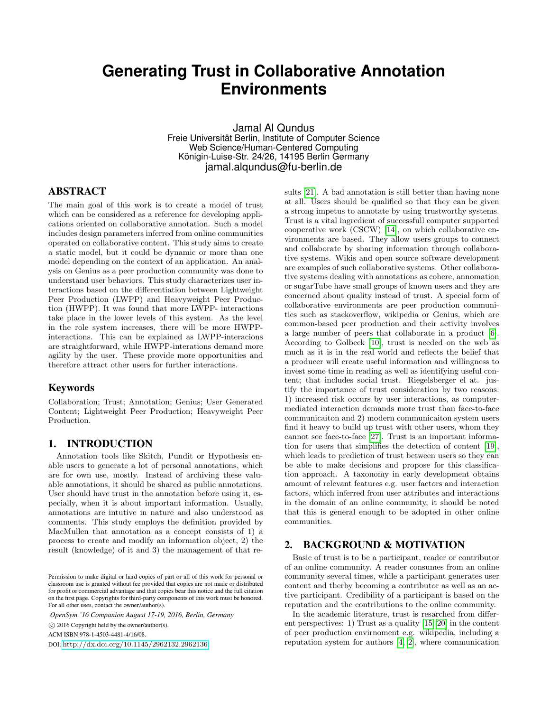# **Generating Trust in Collaborative Annotation Environments**

Jamal Al Qundus Freie Universität Berlin, Institute of Computer Science Web Science/Human-Centered Computing Königin-Luise-Str. 24/26, 14195 Berlin Germany jamal.alqundus@fu-berlin.de

#### ABSTRACT

The main goal of this work is to create a model of trust which can be considered as a reference for developing applications oriented on collaborative annotation. Such a model includes design parameters inferred from online communities operated on collaborative content. This study aims to create a static model, but it could be dynamic or more than one model depending on the context of an application. An analysis on Genius as a peer production community was done to understand user behaviors. This study characterizes user interactions based on the differentiation between Lightweight Peer Production (LWPP) and Heavyweight Peer Production (HWPP). It was found that more LWPP- interactions take place in the lower levels of this system. As the level in the role system increases, there will be more HWPPinteractions. This can be explained as LWPP-interacions are straightforward, while HWPP-interations demand more agility by the user. These provide more opportunities and therefore attract other users for further interactions.

#### Keywords

Collaboration; Trust; Annotation; Genius; User Generated Content; Lightweight Peer Production; Heavyweight Peer Production.

#### 1. INTRODUCTION

Annotation tools like Skitch, Pundit or Hypothesis enable users to generate a lot of personal annotations, which are for own use, mostly. Instead of archiving these valuable annotations, it should be shared as public annotations. User should have trust in the annotation before using it, especially, when it is about important information. Usually, annotations are intutive in nature and also understood as comments. This study employs the definition provided by MacMullen that annotation as a concept consists of 1) a process to create and modify an information object, 2) the result (knowledge) of it and 3) the management of that re-

*OpenSym '16 Companion August 17-19, 2016, Berlin, Germany*

c 2016 Copyright held by the owner/author(s).

ACM ISBN 978-1-4503-4481-4/16/08.

DOI: <http://dx.doi.org/10.1145/2962132.2962136>

sults [\[21\]](#page-3-0). A bad annotation is still better than having none at all. Users should be qualified so that they can be given a strong impetus to annotate by using trustworthy systems. Trust is a vital ingredient of successfull computer supported cooperative work (CSCW) [\[14\]](#page-3-1), on which collaborative environments are based. They allow users groups to connect and collaborate by sharing information through collaborative systems. Wikis and open source software development are examples of such collaborative systems. Other collaborative systems dealing with annotations as cohere, annomation or sugarTube have small groups of known users and they are concerned about quality instead of trust. A special form of collaborative environments are peer production communities such as stackoverflow, wikipedia or Genius, which are common-based peer production and their activity involves a large number of peers that collaborate in a product [\[6\]](#page-3-2). According to Golbeck [\[10\]](#page-3-3), trust is needed on the web as much as it is in the real world and reflects the belief that a producer will create useful information and willingness to invest some time in reading as well as identifying useful content; that includes social trust. Riegelsberger el at. justify the importance of trust consideration by two reasons: 1) increased risk occurs by user interactions, as computermediated interaction demands more trust than face-to-face communicaiton and 2) modern communicaiton system users find it heavy to build up trust with other users, whom they cannot see face-to-face [\[27\]](#page-3-4). Trust is an important information for users that simplifies the detection of content [\[19\]](#page-3-5), which leads to prediction of trust between users so they can be able to make decisions and propose for this classification approach. A taxonomy in early development obtains amount of relevant features e.g. user factors and interaction factors, which inferred from user attributes and interactions in the domain of an online community, it should be noted that this is general enough to be adopted in other online communities.

#### 2. BACKGROUND & MOTIVATION

Basic of trust is to be a participant, reader or contributor of an online community. A reader consumes from an online community several times, while a participant generates user content and therby becoming a contributor as well as an active participant. Credibility of a participant is based on the reputation and the contributions to the online community.

In the academic literature, trust is resarched from different perspectives: 1) Trust as a quality [\[15,](#page-3-6) [20\]](#page-3-7) in the content of peer production envirnoment e.g. wikipedia, including a reputation system for authors [\[4,](#page-3-8) [2\]](#page-3-9), where communication

Permission to make digital or hard copies of part or all of this work for personal or classroom use is granted without fee provided that copies are not made or distributed for profit or commercial advantage and that copies bear this notice and the full citation on the first page. Copyrights for third-party components of this work must be honored. For all other uses, contact the owner/author(s).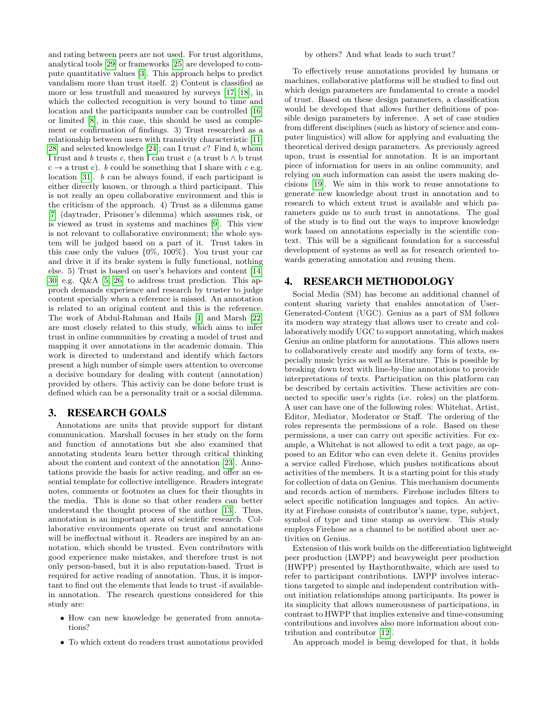and rating between peers are not used. For trust algorithms, analytical tools [\[29\]](#page-3-10) or frameworks [\[25\]](#page-3-11) are developed to compute quantitative values [\[3\]](#page-3-12). This approach helps to predict vandalism more than trust itself. 2) Content is classified as more or less trustfull and measured by surveys [\[17,](#page-3-13) [18\]](#page-3-14), in which the collected recognition is very bound to time and location and the participants number can be controlled [\[16\]](#page-3-15) or limited [\[8\]](#page-3-16), in this case, this should be used as complement or confirmation of findings. 3) Trust researched as a relationship between users with transivity characteristic [\[11,](#page-3-17) [28\]](#page-3-18) and selected knowledge [\[24\]](#page-3-19); can I trust  $c$ ? Find  $b$ , whom I trust and b trusts c, then I can trust c (a trust b  $\wedge$  b trust  $c \rightarrow a$  trust c). b could be something that I share with c e.g. location [\[31\]](#page-3-20). b can be always found, if each participant is either directly known, or through a third participant. This is not really an open collaborative environment and this is the criticism of the approach. 4) Trust as a dilemma game [\[7\]](#page-3-21) (daytrader, Prisoner's dilemma) which assumes risk, or is viewed as trust in systems and machines [\[9\]](#page-3-22). This view is not relevant to collaborative environment; the whole system will be judged based on a part of it. Trust takes in this case only the values  $\{0\%, 100\%\}$ . You trust your car and drive it if its brake system is fully functional, nothing else. 5) Trust is based on user's behaviors and content [\[14,](#page-3-1) [30\]](#page-3-23) e.g. Q&A [\[5,](#page-3-24) [26\]](#page-3-25) to address trust prediction. This approch demands experience and research by truster to judge content specially when a reference is missed. An annotation is related to an original content and this is the reference. The work of Abdul-Rahman and Hails [\[1\]](#page-3-26) and Marsh [\[22\]](#page-3-27) are most closely related to this study, which aims to infer trust in online communities by creating a model of trust and mapping it over annotations in the academic domain. This work is directed to understand and identify which factors present a high number of simple users attention to overcome a decisive boundary for dealing with content (annotation) provided by others. This activiy can be done before trust is defined which can be a personality trait or a social dilemma.

## 3. RESEARCH GOALS

Annotations are units that provide support for distant communication. Marshall focuses in her study on the form and function of annotations but she also examined that annotating students learn better through critical thinking about the content and context of the annotation [\[23\]](#page-3-28). Annotations provide the basis for active reading, and offer an essential template for collective intelligence. Readers integrate notes, comments or footnotes as clues for their thoughts in the media. This is done so that other readers can better understand the thought process of the author [\[13\]](#page-3-29). Thus, annotation is an important area of scientific research. Collaborative environments operate on trust and annotations will be ineffectual without it. Readers are inspired by an annotation, which should be trusted. Even contributors with good experience make mistakes, and therefore trust is not only person-based, but it is also reputation-based. Trust is required for active reading of annotation. Thus, it is important to find out the elements that leads to trust -if availablein annotation. The research questions considered for this study are:

- How can new knowledge be generated from annotations?
- To which extent do readers trust annotations provided

by others? And what leads to such trust?

To effectively reuse annotations provided by humans or machines, collaborative platforms will be studied to find out which design parameters are fundamental to create a model of trust. Based on these design parameters, a classification would be developed that allows further definitions of possible design parameters by inference. A set of case studies from different disciplines (such as history of science and computer linguistics) will allow for applying and evaluating the theoretical derived design parameters. As previously agreed upon, trust is essential for annotation. It is an important piece of information for users in an online community, and relying on such information can assist the users making decisions [\[19\]](#page-3-5). We aim in this work to reuse annotations to generate new knowledge about trust in annotation and to research to which extent trust is available and which parameters guide us to such trust in annotations. The goal of the study is to find out the ways to improve knowledge work based on annotations especially in the scientific context. This will be a significant foundation for a successful development of systems as well as for research oriented towards generating annotation and reusing them.

### 4. RESEARCH METHODOLOGY

Social Media (SM) has become an additional channel of content sharing variety that enables annotation of User-Generated-Content (UGC). Genius as a part of SM follows its modern way strategy that allows user to create and collaboratively modify UGC to support annotating, which makes Genius an online platform for annotations. This allows users to collaboratively create and modify any form of texts, especially music lyrics as well as literature. This is possible by breaking down text with line-by-line annotations to provide interpretations of texts. Participation on this platform can be described by certain activities. These activities are connected to specific user's rights (i.e. roles) on the platform. A user can have one of the following roles: Whitehat, Artist, Editor, Mediator, Moderator or Staff. The ordering of the roles represents the permissions of a role. Based on these permissions, a user can carry out specific activities. For example, a Whitehat is not allowed to edit a text page, as opposed to an Editor who can even delete it. Genius provides a service called Firehose, which pushes notifications about activities of the members. It is a starting point for this study for collection of data on Genius. This mechanism documents and records action of members. Firehose includes filters to select specific notification languages and topics. An activity at Firehose consists of contributor's name, type, subject, symbol of type and time stamp as overview. This study employs Firehose as a channel to be notified about user activities on Genius.

Extension of this work builds on the differentiation lightweight peer production (LWPP) and heavyweight peer production (HWPP) presented by Haythornthwaite, which are used to refer to participant contributions. LWPP involves interactions targeted to simple and independent contribution without initiation relationships among participants. Its power is its simplicity that allows numerousness of participations, in contrast to HWPP that implies extensive and time-consuming contributions and involves also more information about contribution and contributor [\[12\]](#page-3-30).

An approach model is being developed for that, it holds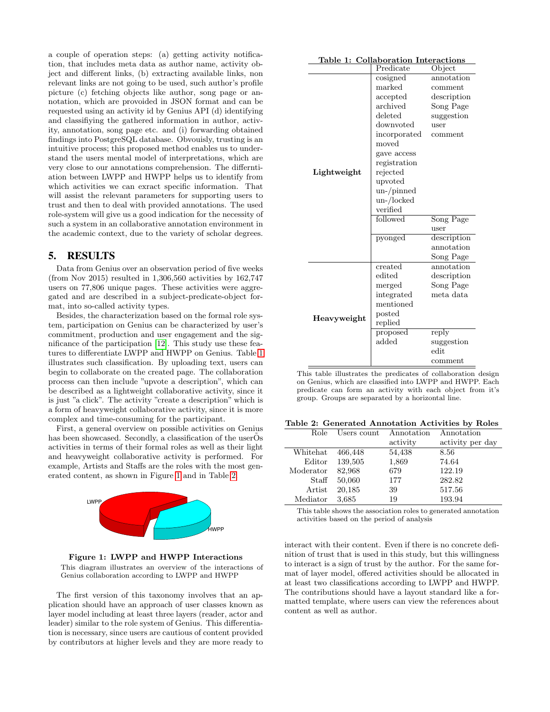a couple of operation steps: (a) getting activity notification, that includes meta data as author name, activity object and different links, (b) extracting available links, non relevant links are not going to be used, such author's profile picture (c) fetching objects like author, song page or annotation, which are provoided in JSON format and can be requested using an activity id by Genius API (d) identifying and classifiying the gathered information in author, activity, annotation, song page etc. and (i) forwarding obtained findings into PostgreSQL database. Obvouisly, trusting is an intuitive process; this proposed method enables us to understand the users mental model of interpretations, which are very close to our annotations comprehension. The differntiation between LWPP and HWPP helps us to identify from which activities we can exract specific information. That will assist the relevant parameters for supporting users to trust and then to deal with provided annotations. The used role-system will give us a good indication for the necessity of such a system in an collaborative annotation environment in the academic context, due to the variety of scholar degrees.

#### 5. RESULTS

Data from Genius over an observation period of five weeks (from Nov 2015) resulted in 1,306,560 activities by 162,747 users on 77,806 unique pages. These activities were aggregated and are described in a subject-predicate-object format, into so-called activity types.

Besides, the characterization based on the formal role system, participation on Genius can be characterized by user's commitment, production and user engagement and the significance of the participation [\[12\]](#page-3-30). This study use these features to differentiate LWPP and HWPP on Genius. Table [1](#page-2-0) illustrates such classification. By uploading text, users can begin to collaborate on the created page. The collaboration process can then include "upvote a description", which can be described as a lightweight collaborative activity, since it is just "a click". The activity "create a description" which is a form of heavyweight collaborative activity, since it is more complex and time-consuming for the participant.

First, a general overview on possible activities on Genius has been showcased. Secondly, a classification of the userOs activities in terms of their formal roles as well as their light and heavyweight collaborative activity is performed. For example, Artists and Staffs are the roles with the most generated content, as shown in Figure [1](#page-2-1) and in Table [2.](#page-2-2)



<span id="page-2-1"></span>Figure 1: LWPP and HWPP Interactions This diagram illustrates an overview of the interactions of Genius collaboration according to LWPP and HWPP

The first version of this taxonomy involves that an application should have an approach of user classes known as layer model including at least three layers (reader, actor and leader) similar to the role system of Genius. This differentiation is necessary, since users are cautious of content provided by contributors at higher levels and they are more ready to

<span id="page-2-0"></span>

| Table 1: Collaboration Interactions |               |             |  |  |
|-------------------------------------|---------------|-------------|--|--|
|                                     | Predicate     | Object      |  |  |
| Lightweight                         | cosigned      | annotation  |  |  |
|                                     | marked        | comment     |  |  |
|                                     | accepted      | description |  |  |
|                                     | archived      | Song Page   |  |  |
|                                     | deleted       | suggestion  |  |  |
|                                     | downvoted     | user        |  |  |
|                                     | incorporated  | comment     |  |  |
|                                     | moved         |             |  |  |
|                                     | gave access   |             |  |  |
|                                     | registration  |             |  |  |
|                                     | rejected      |             |  |  |
|                                     | upvoted       |             |  |  |
|                                     | $un$ -/pinned |             |  |  |
|                                     | un-/locked    |             |  |  |
|                                     | verified      |             |  |  |
|                                     | followed      | Song Page   |  |  |
|                                     |               | user        |  |  |
|                                     | pyonged       | description |  |  |
|                                     |               | annotation  |  |  |
|                                     |               | Song Page   |  |  |
|                                     | created       | annotation  |  |  |
| Heavyweight                         | edited        | description |  |  |
|                                     | merged        | Song Page   |  |  |
|                                     | integrated    | meta data   |  |  |
|                                     | mentioned     |             |  |  |
|                                     | posted        |             |  |  |
|                                     | replied       |             |  |  |
|                                     | proposed      | reply       |  |  |
|                                     | added         | suggestion  |  |  |
|                                     |               | edit        |  |  |
|                                     |               | comment     |  |  |

This table illustrates the predicates of collaboration design on Genius, which are classified into LWPP and HWPP. Each predicate can form an activity with each object from it's group. Groups are separated by a horizontal line.

Table 2: Generated Annotation Activities by Roles

<span id="page-2-2"></span>

| Role      | Users count | Annotation | Annotation       |
|-----------|-------------|------------|------------------|
|           |             | activity   | activity per day |
| Whitehat  | 466,448     | 54,438     | 8.56             |
| Editor    | 139,505     | 1,869      | 74.64            |
| Moderator | 82,968      | 679        | 122.19           |
| Staff     | 50,060      | 177        | 282.82           |
| Artist    | 20,185      | 39         | 517.56           |
| Mediator  | 3,685       | 19         | 193.94           |

This table shows the association roles to generated annotation activities based on the period of analysis

interact with their content. Even if there is no concrete definition of trust that is used in this study, but this willingness to interact is a sign of trust by the author. For the same format of layer model, offered activities should be allocated in at least two classifications according to LWPP and HWPP. The contributions should have a layout standard like a formatted template, where users can view the references about content as well as author.